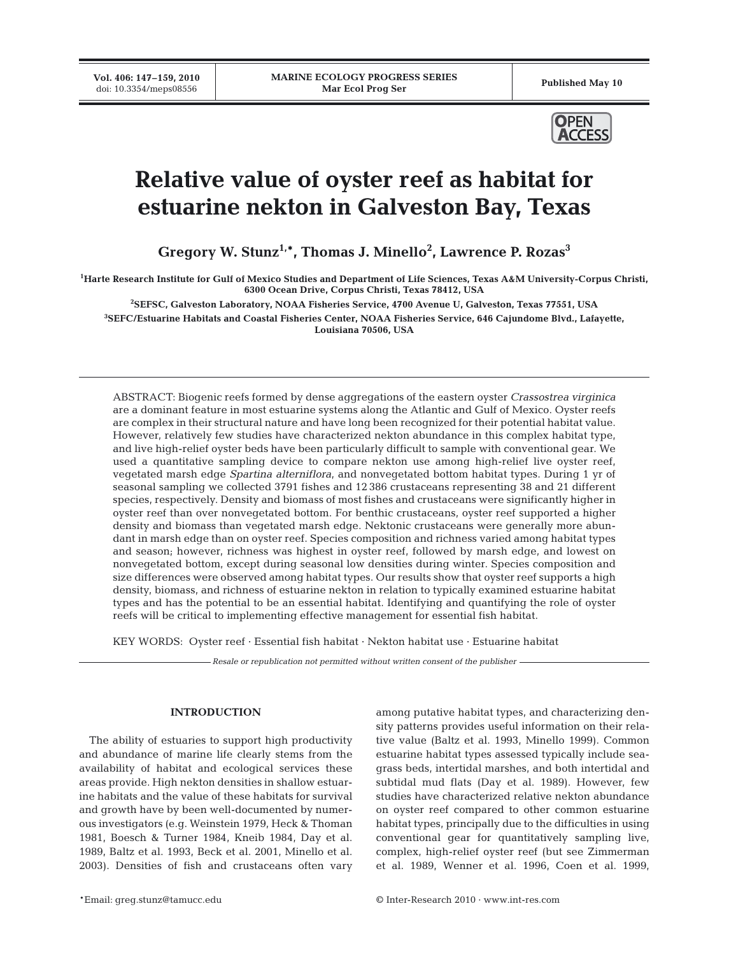**Vol. 406: 147–159, 2010**



# **Relative value of oyster reef as habitat for estuarine nekton in Galveston Bay, Texas**

**Gregory W. Stunz1,\*, Thomas J. Minello2 , Lawrence P. Rozas3**

**1 Harte Research Institute for Gulf of Mexico Studies and Department of Life Sciences, Texas A&M University-Corpus Christi, 6300 Ocean Drive, Corpus Christi, Texas 78412, USA**

**2 SEFSC, Galveston Laboratory, NOAA Fisheries Service, 4700 Avenue U, Galveston, Texas 77551, USA**

**3 SEFC/Estuarine Habitats and Coastal Fisheries Center, NOAA Fisheries Service, 646 Cajundome Blvd., Lafayette, Louisiana 70506, USA**

ABSTRACT: Biogenic reefs formed by dense aggregations of the eastern oyster *Crassostrea virginica* are a dominant feature in most estuarine systems along the Atlantic and Gulf of Mexico. Oyster reefs are complex in their structural nature and have long been recognized for their potential habitat value. However, relatively few studies have characterized nekton abundance in this complex habitat type, and live high-relief oyster beds have been particularly difficult to sample with conventional gear. We used a quantitative sampling device to compare nekton use among high-relief live oyster reef, vegetated marsh edge *Spartina alterniflora*, and nonvegetated bottom habitat types. During 1 yr of seasonal sampling we collected 3791 fishes and 12 386 crustaceans representing 38 and 21 different species, respectively. Density and biomass of most fishes and crustaceans were significantly higher in oyster reef than over nonvegetated bottom. For benthic crustaceans, oyster reef supported a higher density and biomass than vegetated marsh edge. Nektonic crustaceans were generally more abundant in marsh edge than on oyster reef. Species composition and richness varied among habitat types and season; however, richness was highest in oyster reef, followed by marsh edge, and lowest on nonvegetated bottom, except during seasonal low densities during winter. Species composition and size differences were observed among habitat types. Our results show that oyster reef supports a high density, biomass, and richness of estuarine nekton in relation to typically examined estuarine habitat types and has the potential to be an essential habitat. Identifying and quantifying the role of oyster reefs will be critical to implementing effective management for essential fish habitat.

KEY WORDS: Oyster reef · Essential fish habitat · Nekton habitat use · Estuarine habitat

*Resale or republication not permitted without written consent of the publisher*

## **INTRODUCTION**

The ability of estuaries to support high productivity and abundance of marine life clearly stems from the availability of habitat and ecological services these areas provide. High nekton densities in shallow estuarine habitats and the value of these habitats for survival and growth have by been well-documented by numerous investigators (e.g. Weinstein 1979, Heck & Thoman 1981, Boesch & Turner 1984, Kneib 1984, Day et al. 1989, Baltz et al. 1993, Beck et al. 2001, Minello et al. 2003). Densities of fish and crustaceans often vary

among putative habitat types, and characterizing density patterns provides useful information on their relative value (Baltz et al. 1993, Minello 1999). Common estuarine habitat types assessed typically include seagrass beds, intertidal marshes, and both intertidal and subtidal mud flats (Day et al. 1989). However, few studies have characterized relative nekton abundance on oyster reef compared to other common estuarine habitat types, principally due to the difficulties in using conventional gear for quantitatively sampling live, complex, high-relief oyster reef (but see Zimmerman et al. 1989, Wenner et al. 1996, Coen et al. 1999,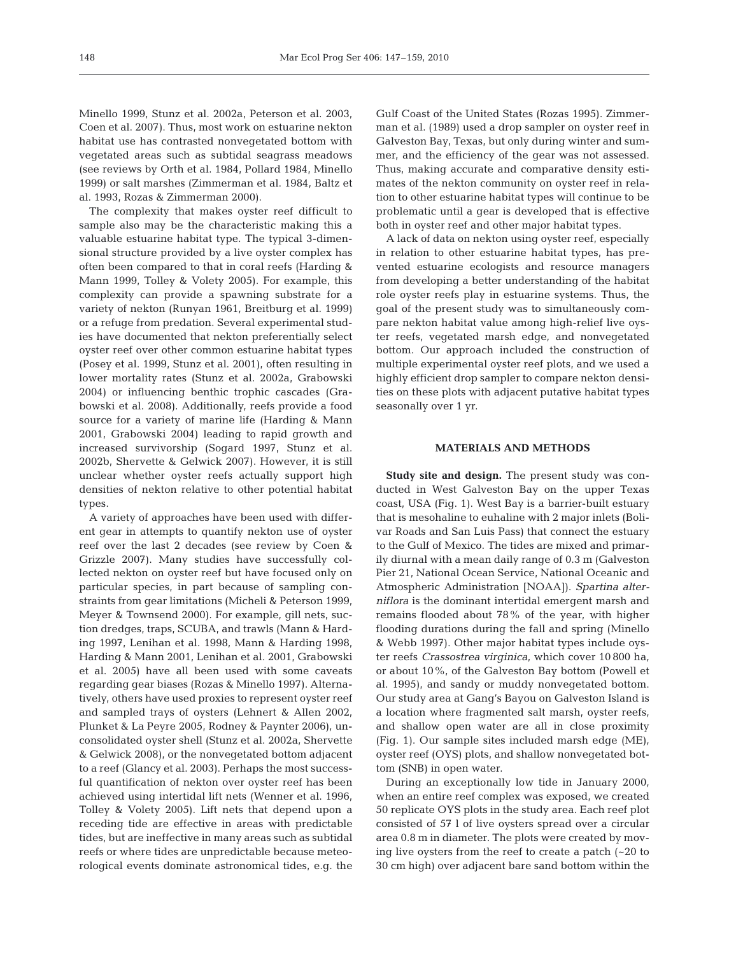Minello 1999, Stunz et al. 2002a, Peterson et al. 2003, Coen et al. 2007). Thus, most work on estuarine nekton habitat use has contrasted nonvegetated bottom with vegetated areas such as subtidal seagrass meadows (see reviews by Orth et al. 1984, Pollard 1984, Minello 1999) or salt marshes (Zimmerman et al. 1984, Baltz et al. 1993, Rozas & Zimmerman 2000).

The complexity that makes oyster reef difficult to sample also may be the characteristic making this a valuable estuarine habitat type. The typical 3-dimensional structure provided by a live oyster complex has often been compared to that in coral reefs (Harding & Mann 1999, Tolley & Volety 2005). For example, this complexity can provide a spawning substrate for a variety of nekton (Runyan 1961, Breitburg et al. 1999) or a refuge from predation. Several experimental studies have documented that nekton preferentially select oyster reef over other common estuarine habitat types (Posey et al. 1999, Stunz et al. 2001), often resulting in lower mortality rates (Stunz et al. 2002a, Grabowski 2004) or influencing benthic trophic cascades (Grabowski et al. 2008). Additionally, reefs provide a food source for a variety of marine life (Harding & Mann 2001, Grabowski 2004) leading to rapid growth and increased survivorship (Sogard 1997, Stunz et al. 2002b, Shervette & Gelwick 2007). However, it is still unclear whether oyster reefs actually support high densities of nekton relative to other potential habitat types.

A variety of approaches have been used with different gear in attempts to quantify nekton use of oyster reef over the last 2 decades (see review by Coen & Grizzle 2007). Many studies have successfully collected nekton on oyster reef but have focused only on particular species, in part because of sampling constraints from gear limitations (Micheli & Peterson 1999, Meyer & Townsend 2000). For example, gill nets, suction dredges, traps, SCUBA, and trawls (Mann & Harding 1997, Lenihan et al. 1998, Mann & Harding 1998, Harding & Mann 2001, Lenihan et al. 2001, Grabowski et al. 2005) have all been used with some caveats regarding gear biases (Rozas & Minello 1997). Alternatively, others have used proxies to represent oyster reef and sampled trays of oysters (Lehnert & Allen 2002, Plunket & La Peyre 2005, Rodney & Paynter 2006), unconsolidated oyster shell (Stunz et al. 2002a, Shervette & Gelwick 2008), or the nonvegetated bottom adjacent to a reef (Glancy et al. 2003). Perhaps the most successful quantification of nekton over oyster reef has been achieved using intertidal lift nets (Wenner et al. 1996, Tolley & Volety 2005). Lift nets that depend upon a receding tide are effective in areas with predictable tides, but are ineffective in many areas such as subtidal reefs or where tides are unpredictable because meteorological events dominate astronomical tides, e.g. the Gulf Coast of the United States (Rozas 1995). Zimmerman et al. (1989) used a drop sampler on oyster reef in Galveston Bay, Texas, but only during winter and summer, and the efficiency of the gear was not assessed. Thus, making accurate and comparative density estimates of the nekton community on oyster reef in relation to other estuarine habitat types will continue to be problematic until a gear is developed that is effective both in oyster reef and other major habitat types.

A lack of data on nekton using oyster reef, especially in relation to other estuarine habitat types, has prevented estuarine ecologists and resource managers from developing a better understanding of the habitat role oyster reefs play in estuarine systems. Thus, the goal of the present study was to simultaneously compare nekton habitat value among high-relief live oyster reefs, vegetated marsh edge, and nonvegetated bottom. Our approach included the construction of multiple experimental oyster reef plots, and we used a highly efficient drop sampler to compare nekton densities on these plots with adjacent putative habitat types seasonally over 1 yr.

## **MATERIALS AND METHODS**

**Study site and design.** The present study was conducted in West Galveston Bay on the upper Texas coast, USA (Fig. 1). West Bay is a barrier-built estuary that is mesohaline to euhaline with 2 major inlets (Bolivar Roads and San Luis Pass) that connect the estuary to the Gulf of Mexico. The tides are mixed and primarily diurnal with a mean daily range of 0.3 m (Galveston Pier 21, National Ocean Service, National Oceanic and Atmospheric Administration [NOAA]). *Spartina alterniflora* is the dominant intertidal emergent marsh and remains flooded about 78% of the year, with higher flooding durations during the fall and spring (Minello & Webb 1997). Other major habitat types include oyster reefs *Crassostrea virginica*, which cover 10 800 ha, or about 10%, of the Galveston Bay bottom (Powell et al. 1995), and sandy or muddy nonvegetated bottom. Our study area at Gang's Bayou on Galveston Island is a location where fragmented salt marsh, oyster reefs, and shallow open water are all in close proximity (Fig. 1). Our sample sites included marsh edge (ME), oyster reef (OYS) plots, and shallow nonvegetated bottom (SNB) in open water.

During an exceptionally low tide in January 2000, when an entire reef complex was exposed, we created 50 replicate OYS plots in the study area. Each reef plot consisted of 57 l of live oysters spread over a circular area 0.8 m in diameter. The plots were created by moving live oysters from the reef to create a patch (~20 to 30 cm high) over adjacent bare sand bottom within the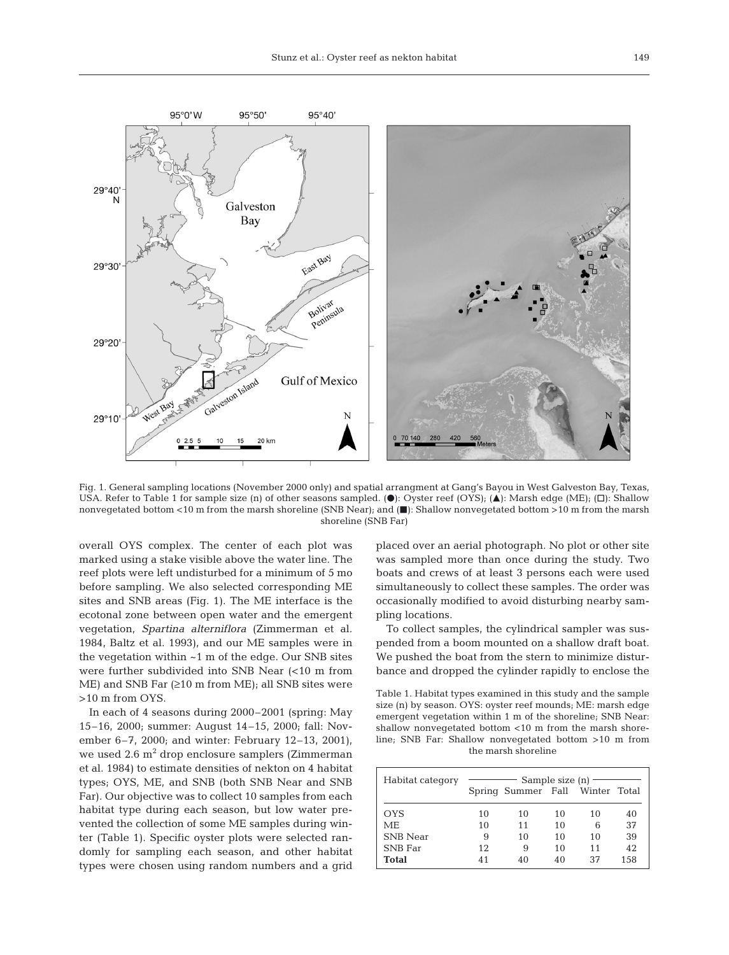

Fig. 1. General sampling locations (November 2000 only) and spatial arrangment at Gang's Bayou in West Galveston Bay, Texas, USA. Refer to Table 1 for sample size (n) of other seasons sampled. ( $\bullet$ ): Oyster reef (OYS); ( $\blacktriangle$ ): Marsh edge (ME); ( $\Box$ ): Shallow nonvegetated bottom <10 m from the marsh shoreline (SNB Near); and ( $\blacksquare$ ): Shallow nonvegetated bottom >10 m from the marsh shoreline (SNB Far)

overall OYS complex. The center of each plot was marked using a stake visible above the water line. The reef plots were left undisturbed for a minimum of 5 mo before sampling. We also selected corresponding ME sites and SNB areas (Fig. 1). The ME interface is the ecotonal zone between open water and the emergent vegetation, *Spartina alterniflora* (Zimmerman et al. 1984, Baltz et al. 1993), and our ME samples were in the vegetation within  $~1~$ m of the edge. Our SNB sites were further subdivided into SNB Near (<10 m from ME) and SNB Far  $(≥10$  m from ME); all SNB sites were >10 m from OYS.

In each of 4 seasons during 2000–2001 (spring: May 15–16, 2000; summer: August 14–15, 2000; fall: November 6–7, 2000; and winter: February 12–13, 2001), we used  $2.6$  m<sup>2</sup> drop enclosure samplers (Zimmerman et al. 1984) to estimate densities of nekton on 4 habitat types; OYS, ME, and SNB (both SNB Near and SNB Far). Our objective was to collect 10 samples from each habitat type during each season, but low water prevented the collection of some ME samples during winter (Table 1). Specific oyster plots were selected randomly for sampling each season, and other habitat types were chosen using random numbers and a grid placed over an aerial photograph. No plot or other site was sampled more than once during the study. Two boats and crews of at least 3 persons each were used simultaneously to collect these samples. The order was occasionally modified to avoid disturbing nearby sampling locations.

To collect samples, the cylindrical sampler was suspended from a boom mounted on a shallow draft boat. We pushed the boat from the stern to minimize disturbance and dropped the cylinder rapidly to enclose the

Table 1. Habitat types examined in this study and the sample size (n) by season. OYS: oyster reef mounds; ME: marsh edge emergent vegetation within 1 m of the shoreline; SNB Near: shallow nonvegetated bottom <10 m from the marsh shoreline; SNB Far: Shallow nonvegetated bottom >10 m from the marsh shoreline

| Habitat category |    |    | Sample size $(n)$ –<br>Spring Summer Fall Winter Total |    |      |  |  |  |
|------------------|----|----|--------------------------------------------------------|----|------|--|--|--|
| <b>OYS</b>       | 10 | 10 | 10                                                     | 10 | 40   |  |  |  |
| МE               | 10 | 11 | 10                                                     | 6  | 37   |  |  |  |
| <b>SNB</b> Near  | 9  | 10 | 10                                                     | 10 | 39   |  |  |  |
| <b>SNB</b> Far   | 12 | 9  | 10                                                     | 11 | 42   |  |  |  |
| <b>Total</b>     | 41 | 40 | 40                                                     | 37 | 1.58 |  |  |  |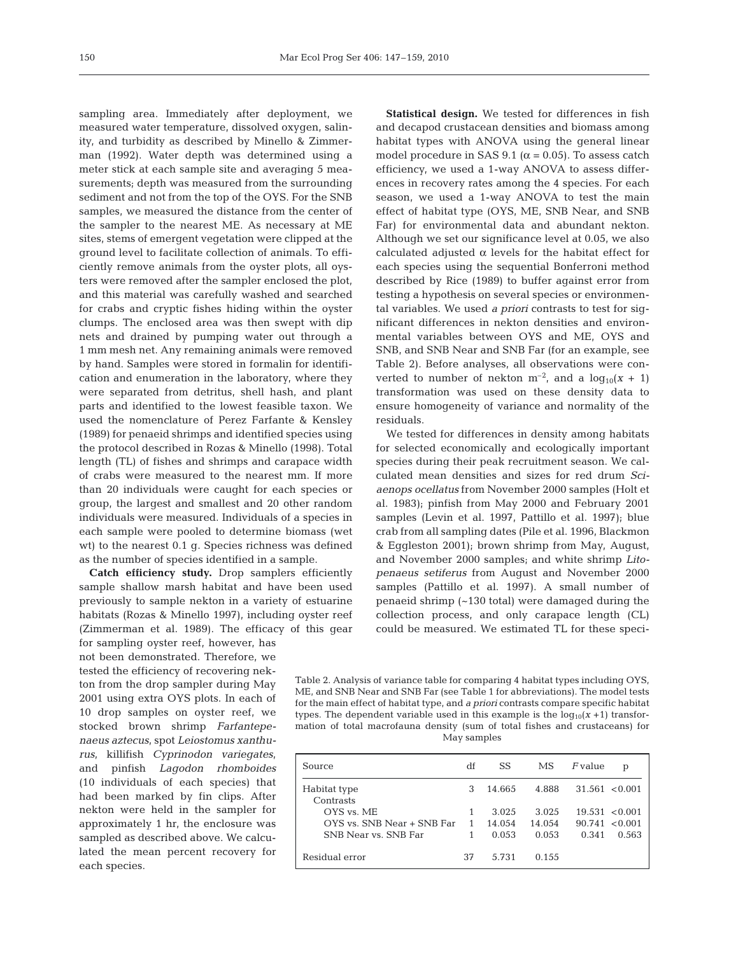sampling area. Immediately after deployment, we measured water temperature, dissolved oxygen, salinity, and turbidity as described by Minello & Zimmerman (1992). Water depth was determined using a meter stick at each sample site and averaging 5 measurements; depth was measured from the surrounding sediment and not from the top of the OYS. For the SNB samples, we measured the distance from the center of the sampler to the nearest ME. As necessary at ME sites, stems of emergent vegetation were clipped at the ground level to facilitate collection of animals. To efficiently remove animals from the oyster plots, all oysters were removed after the sampler enclosed the plot, and this material was carefully washed and searched for crabs and cryptic fishes hiding within the oyster clumps. The enclosed area was then swept with dip nets and drained by pumping water out through a 1 mm mesh net. Any remaining animals were removed by hand. Samples were stored in formalin for identification and enumeration in the laboratory, where they were separated from detritus, shell hash, and plant parts and identified to the lowest feasible taxon. We used the nomenclature of Perez Farfante & Kensley (1989) for penaeid shrimps and identified species using the protocol described in Rozas & Minello (1998). Total length (TL) of fishes and shrimps and carapace width of crabs were measured to the nearest mm. If more than 20 individuals were caught for each species or group, the largest and smallest and 20 other random individuals were measured. Individuals of a species in each sample were pooled to determine biomass (wet wt) to the nearest 0.1 g. Species richness was defined as the number of species identified in a sample.

**Catch efficiency study.** Drop samplers efficiently sample shallow marsh habitat and have been used previously to sample nekton in a variety of estuarine habitats (Rozas & Minello 1997), including oyster reef (Zimmerman et al. 1989). The efficacy of this gear

for sampling oyster reef, however, has not been demonstrated. Therefore, we tested the efficiency of recovering nekton from the drop sampler during May 2001 using extra OYS plots. In each of 10 drop samples on oyster reef, we stocked brown shrimp *Farfantepenaeus aztecus*, spot *Leiostomus xanthurus*, killifish *Cyprinodon variegates*, and pinfish *Lagodon rhomboides* (10 individuals of each species) that had been marked by fin clips. After nekton were held in the sampler for approximately 1 hr, the enclosure was sampled as described above. We calculated the mean percent recovery for each species.

**Statistical design.** We tested for differences in fish and decapod crustacean densities and biomass among habitat types with ANOVA using the general linear model procedure in SAS 9.1 ( $\alpha$  = 0.05). To assess catch efficiency, we used a 1-way ANOVA to assess differences in recovery rates among the 4 species. For each season, we used a 1-way ANOVA to test the main effect of habitat type (OYS, ME, SNB Near, and SNB Far) for environmental data and abundant nekton. Although we set our significance level at 0.05, we also calculated adjusted  $\alpha$  levels for the habitat effect for each species using the sequential Bonferroni method described by Rice (1989) to buffer against error from testing a hypothesis on several species or environmental variables. We used *a priori* contrasts to test for significant differences in nekton densities and environmental variables between OYS and ME, OYS and SNB, and SNB Near and SNB Far (for an example, see Table 2). Before analyses, all observations were converted to number of nekton  $m^{-2}$ , and a  $log_{10}(x + 1)$ transformation was used on these density data to ensure homogeneity of variance and normality of the residuals.

We tested for differences in density among habitats for selected economically and ecologically important species during their peak recruitment season. We calculated mean densities and sizes for red drum *Sciaenops ocellatus* from November 2000 samples (Holt et al. 1983); pinfish from May 2000 and February 2001 samples (Levin et al. 1997, Pattillo et al. 1997); blue crab from all sampling dates (Pile et al. 1996, Blackmon & Eggleston 2001); brown shrimp from May, August, and November 2000 samples; and white shrimp *Litopenaeus setiferus* from August and November 2000 samples (Pattillo et al. 1997). A small number of penaeid shrimp (~130 total) were damaged during the collection process, and only carapace length (CL) could be measured. We estimated TL for these speci-

Table 2. Analysis of variance table for comparing 4 habitat types including OYS, ME, and SNB Near and SNB Far (see Table 1 for abbreviations). The model tests for the main effect of habitat type, and *a priori* contrasts compare specific habitat types. The dependent variable used in this example is the  $log_{10}(x + 1)$  transformation of total macrofauna density (sum of total fishes and crustaceans) for May samples

| Source                     | df | SS     | MS.    | $F$ value | p                  |
|----------------------------|----|--------|--------|-----------|--------------------|
| Habitat type<br>Contrasts  | З  | 14.665 | 4.888  |           | $31.561 \le 0.001$ |
| OYS vs. ME                 |    | 3.025  | 3.025  |           | $19.531 \le 0.001$ |
| OYS vs. SNB Near + SNB Far | 1  | 14.054 | 14.054 |           | $90.741 \le 0.001$ |
| SNB Near vs. SNB Far       | 1  | 0.053  | 0.053  | 0.341     | 0.563              |
| Residual error             | 37 | 5.731  | 0.155  |           |                    |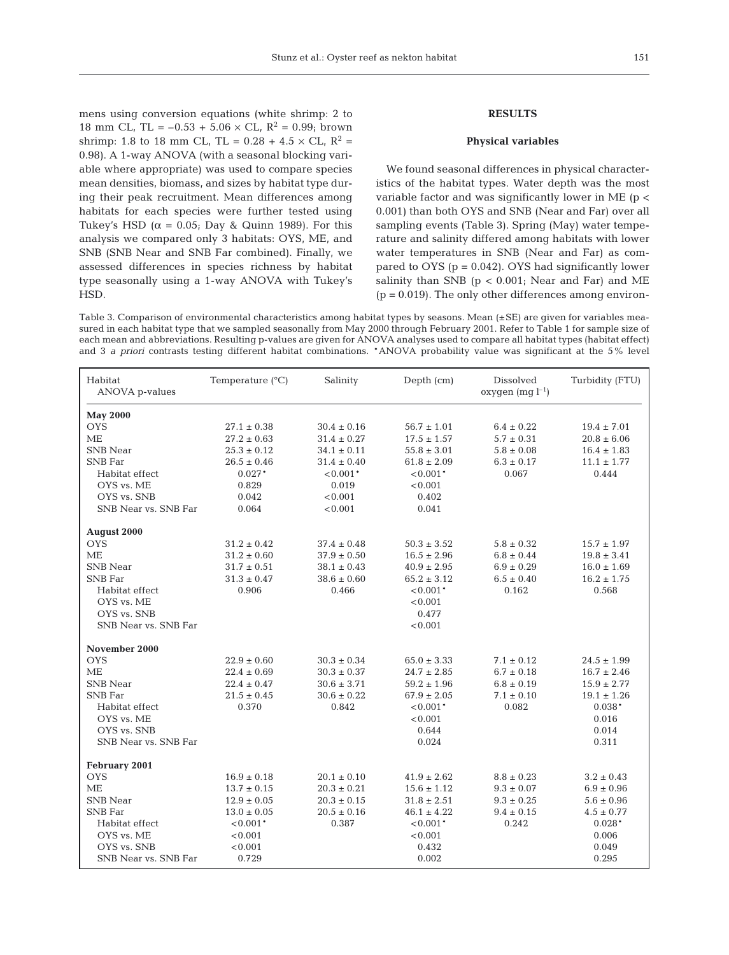mens using conversion equations (white shrimp: 2 to 18 mm CL, TL =  $-0.53 + 5.06 \times$  CL, R<sup>2</sup> = 0.99; brown shrimp: 1.8 to 18 mm CL, TL =  $0.28 + 4.5 \times$  CL, R<sup>2</sup> = 0.98). A 1-way ANOVA (with a seasonal blocking variable where appropriate) was used to compare species mean densities, biomass, and sizes by habitat type during their peak recruitment. Mean differences among habitats for each species were further tested using Tukey's HSD ( $\alpha$  = 0.05; Day & Quinn 1989). For this analysis we compared only 3 habitats: OYS, ME, and SNB (SNB Near and SNB Far combined). Finally, we assessed differences in species richness by habitat type seasonally using a 1-way ANOVA with Tukey's HSD.

## **RESULTS**

### **Physical variables**

We found seasonal differences in physical characteristics of the habitat types. Water depth was the most variable factor and was significantly lower in ME (p < 0.001) than both OYS and SNB (Near and Far) over all sampling events (Table 3). Spring (May) water temperature and salinity differed among habitats with lower water temperatures in SNB (Near and Far) as compared to OYS ( $p = 0.042$ ). OYS had significantly lower salinity than SNB ( $p < 0.001$ ; Near and Far) and ME  $(p = 0.019)$ . The only other differences among environ-

Table 3. Comparison of environmental characteristics among habitat types by seasons. Mean (±SE) are given for variables measured in each habitat type that we sampled seasonally from May 2000 through February 2001. Refer to Table 1 for sample size of each mean and abbreviations. Resulting p-values are given for ANOVA analyses used to compare all habitat types (habitat effect) and 3 *a priori* contrasts testing different habitat combinations. \*ANOVA probability value was significant at the 5% level

| Habitat<br>ANOVA p-values | Temperature $(^{\circ}C)$ | Salinity        | Depth (cm)      | Dissolved<br>oxygen $(mg l^{-1})$ | Turbidity (FTU) |
|---------------------------|---------------------------|-----------------|-----------------|-----------------------------------|-----------------|
| <b>May 2000</b>           |                           |                 |                 |                                   |                 |
| <b>OYS</b>                | $27.1 \pm 0.38$           | $30.4 \pm 0.16$ | $56.7 \pm 1.01$ | $6.4 \pm 0.22$                    | $19.4 \pm 7.01$ |
| <b>ME</b>                 | $27.2 \pm 0.63$           | $31.4 \pm 0.27$ | $17.5 \pm 1.57$ | $5.7 \pm 0.31$                    | $20.8 \pm 6.06$ |
| <b>SNB Near</b>           | $25.3 \pm 0.12$           | $34.1 \pm 0.11$ | $55.8 \pm 3.01$ | $5.8 \pm 0.08$                    | $16.4 \pm 1.83$ |
| <b>SNB</b> Far            | $26.5 \pm 0.46$           | $31.4 \pm 0.40$ | $61.8 \pm 2.09$ | $6.3 \pm 0.17$                    | $11.1 \pm 1.77$ |
| Habitat effect            | $0.027*$                  | $< 0.001*$      | $0.001*$        | 0.067                             | 0.444           |
| OYS vs. ME                | 0.829                     | 0.019           | < 0.001         |                                   |                 |
| OYS vs. SNB               | 0.042                     | < 0.001         | 0.402           |                                   |                 |
| SNB Near vs. SNB Far      | 0.064                     | < 0.001         | 0.041           |                                   |                 |
| August 2000               |                           |                 |                 |                                   |                 |
| <b>OYS</b>                | $31.2 \pm 0.42$           | $37.4 \pm 0.48$ | $50.3 \pm 3.52$ | $5.8 \pm 0.32$                    | $15.7 \pm 1.97$ |
| <b>ME</b>                 | $31.2 \pm 0.60$           | $37.9 \pm 0.50$ | $16.5 \pm 2.96$ | $6.8 \pm 0.44$                    | $19.8 \pm 3.41$ |
| <b>SNB</b> Near           | $31.7 \pm 0.51$           | $38.1 \pm 0.43$ | $40.9 \pm 2.95$ | $6.9 \pm 0.29$                    | $16.0 \pm 1.69$ |
| <b>SNB</b> Far            | $31.3 \pm 0.47$           | $38.6 \pm 0.60$ | $65.2 \pm 3.12$ | $6.5 \pm 0.40$                    | $16.2 \pm 1.75$ |
| Habitat effect            | 0.906                     | 0.466           | $< 0.001*$      | 0.162                             | 0.568           |
| OYS vs. ME                |                           |                 | < 0.001         |                                   |                 |
| OYS vs. SNB               |                           |                 | 0.477           |                                   |                 |
| SNB Near vs. SNB Far      |                           |                 | < 0.001         |                                   |                 |
| November 2000             |                           |                 |                 |                                   |                 |
| <b>OYS</b>                | $22.9 \pm 0.60$           | $30.3 \pm 0.34$ | $65.0 \pm 3.33$ | $7.1 \pm 0.12$                    | $24.5 \pm 1.99$ |
| ME                        | $22.4 \pm 0.69$           | $30.3 \pm 0.37$ | $24.7 \pm 2.85$ | $6.7 \pm 0.18$                    | $16.7 \pm 2.46$ |
| <b>SNB</b> Near           | $22.4 \pm 0.47$           | $30.6 \pm 3.71$ | $59.2 \pm 1.96$ | $6.8 \pm 0.19$                    | $15.9 \pm 2.77$ |
| <b>SNB</b> Far            | $21.5 \pm 0.45$           | $30.6 \pm 0.22$ | $67.9 \pm 2.05$ | $7.1 \pm 0.10$                    | $19.1 \pm 1.26$ |
| Habitat effect            | 0.370                     | 0.842           | $< 0.001*$      | 0.082                             | $0.038*$        |
| OYS vs. ME                |                           |                 | < 0.001         |                                   | 0.016           |
| OYS vs. SNB               |                           |                 | 0.644           |                                   | 0.014           |
| SNB Near vs. SNB Far      |                           |                 | 0.024           |                                   | 0.311           |
| February 2001             |                           |                 |                 |                                   |                 |
| <b>OYS</b>                | $16.9 \pm 0.18$           | $20.1 \pm 0.10$ | $41.9 \pm 2.62$ | $8.8 \pm 0.23$                    | $3.2 \pm 0.43$  |
| <b>ME</b>                 | $13.7 \pm 0.15$           | $20.3 \pm 0.21$ | $15.6 \pm 1.12$ | $9.3 \pm 0.07$                    | $6.9 \pm 0.96$  |
| <b>SNB</b> Near           | $12.9 \pm 0.05$           | $20.3 \pm 0.15$ | $31.8 \pm 2.51$ | $9.3 \pm 0.25$                    | $5.6 \pm 0.96$  |
| <b>SNB</b> Far            | $13.0 \pm 0.05$           | $20.5 \pm 0.16$ | $46.1 \pm 4.22$ | $9.4 \pm 0.15$                    | $4.5 \pm 0.77$  |
| Habitat effect            | $< 0.001*$                | 0.387           | $0.001*$        | 0.242                             | $0.028*$        |
| OYS vs. ME                | < 0.001                   |                 | < 0.001         |                                   | 0.006           |
| OYS vs. SNB               | < 0.001                   |                 | 0.432           |                                   | 0.049           |
| SNB Near vs. SNB Far      | 0.729                     |                 | 0.002           |                                   | 0.295           |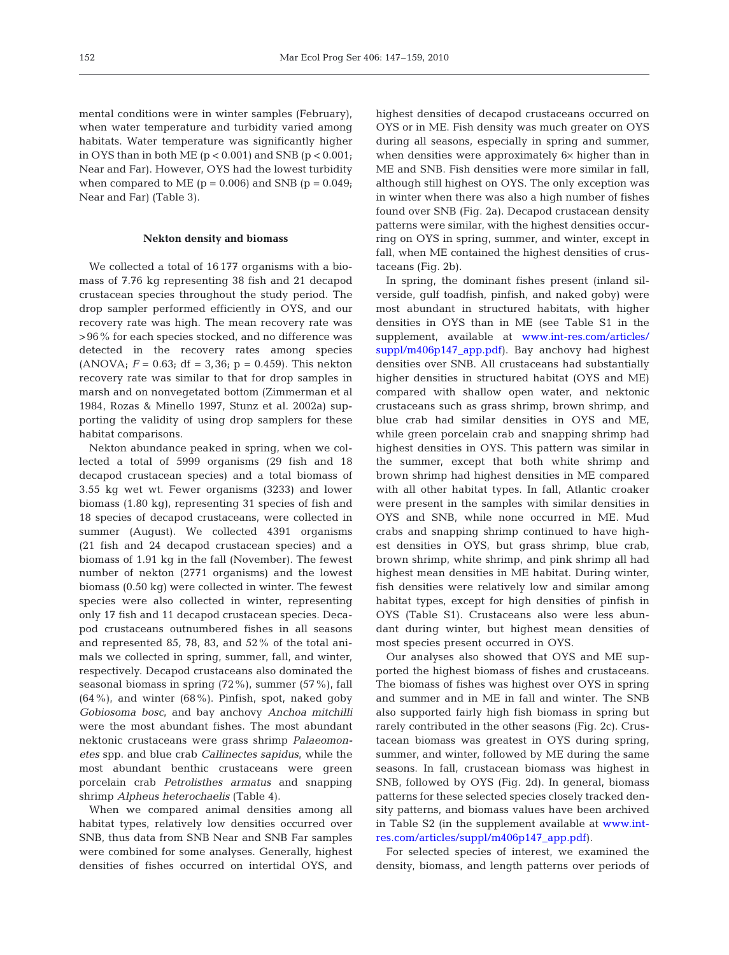mental conditions were in winter samples (February), when water temperature and turbidity varied among habitats. Water temperature was significantly higher in OYS than in both ME ( $p < 0.001$ ) and SNB ( $p < 0.001$ ; Near and Far). However, OYS had the lowest turbidity when compared to ME  $(p = 0.006)$  and SNB  $(p = 0.049)$ ; Near and Far) (Table 3).

### **Nekton density and biomass**

We collected a total of 16 177 organisms with a biomass of 7.76 kg representing 38 fish and 21 decapod crustacean species throughout the study period. The drop sampler performed efficiently in OYS, and our recovery rate was high. The mean recovery rate was >96% for each species stocked, and no difference was detected in the recovery rates among species (ANOVA;  $F = 0.63$ ; df = 3,36; p = 0.459). This nekton recovery rate was similar to that for drop samples in marsh and on nonvegetated bottom (Zimmerman et al 1984, Rozas & Minello 1997, Stunz et al. 2002a) supporting the validity of using drop samplers for these habitat comparisons.

Nekton abundance peaked in spring, when we collected a total of 5999 organisms (29 fish and 18 decapod crustacean species) and a total biomass of 3.55 kg wet wt. Fewer organisms (3233) and lower biomass (1.80 kg), representing 31 species of fish and 18 species of decapod crustaceans, were collected in summer (August). We collected 4391 organisms (21 fish and 24 decapod crustacean species) and a biomass of 1.91 kg in the fall (November). The fewest number of nekton (2771 organisms) and the lowest biomass (0.50 kg) were collected in winter. The fewest species were also collected in winter, representing only 17 fish and 11 decapod crustacean species. Decapod crustaceans outnumbered fishes in all seasons and represented 85, 78, 83, and 52% of the total animals we collected in spring, summer, fall, and winter, respectively. Decapod crustaceans also dominated the seasonal biomass in spring (72%), summer (57%), fall (64%), and winter (68%). Pinfish, spot, naked goby *Gobiosoma bosc*, and bay anchovy *Anchoa mitchilli* were the most abundant fishes. The most abundant nektonic crustaceans were grass shrimp *Palaeomonetes* spp. and blue crab *Callinectes sapidus*, while the most abundant benthic crustaceans were green porcelain crab *Petrolisthes armatus* and snapping shrimp *Alpheus heterochaelis* (Table 4).

When we compared animal densities among all habitat types, relatively low densities occurred over SNB, thus data from SNB Near and SNB Far samples were combined for some analyses. Generally, highest densities of fishes occurred on intertidal OYS, and highest densities of decapod crustaceans occurred on OYS or in ME. Fish density was much greater on OYS during all seasons, especially in spring and summer, when densities were approximately 6× higher than in ME and SNB. Fish densities were more similar in fall, although still highest on OYS. The only exception was in winter when there was also a high number of fishes found over SNB (Fig. 2a). Decapod crustacean density patterns were similar, with the highest densities occurring on OYS in spring, summer, and winter, except in fall, when ME contained the highest densities of crustaceans (Fig. 2b).

In spring, the dominant fishes present (inland silverside, gulf toadfish, pinfish, and naked goby) were most abundant in structured habitats, with higher densities in OYS than in ME (see Table S1 in the supplement, available at [www.int-res.com/articles/](http://www.int-res.com/articles/suppl/m406p147_app.pdf) [suppl/m406p147\\_app.pdf\)](http://www.int-res.com/articles/suppl/m406p147_app.pdf). Bay anchovy had highest densities over SNB. All crustaceans had substantially higher densities in structured habitat (OYS and ME) compared with shallow open water, and nektonic crustaceans such as grass shrimp, brown shrimp, and blue crab had similar densities in OYS and ME, while green porcelain crab and snapping shrimp had highest densities in OYS. This pattern was similar in the summer, except that both white shrimp and brown shrimp had highest densities in ME compared with all other habitat types. In fall, Atlantic croaker were present in the samples with similar densities in OYS and SNB, while none occurred in ME. Mud crabs and snapping shrimp continued to have highest densities in OYS, but grass shrimp, blue crab, brown shrimp, white shrimp, and pink shrimp all had highest mean densities in ME habitat. During winter, fish densities were relatively low and similar among habitat types, except for high densities of pinfish in OYS (Table S1). Crustaceans also were less abundant during winter, but highest mean densities of most species present occurred in OYS.

Our analyses also showed that OYS and ME supported the highest biomass of fishes and crustaceans. The biomass of fishes was highest over OYS in spring and summer and in ME in fall and winter. The SNB also supported fairly high fish biomass in spring but rarely contributed in the other seasons (Fig. 2c). Crustacean biomass was greatest in OYS during spring, summer, and winter, followed by ME during the same seasons. In fall, crustacean biomass was highest in SNB, followed by OYS (Fig. 2d). In general, biomass patterns for these selected species closely tracked density patterns, and biomass values have been archived in Table S2 (in the supplement available at [www.int](http://www.int-res.com/articles/suppl/m406p147_app.pdf)[res.com/articles/suppl/m406p147\\_app.pdf\).](http://www.int-res.com/articles/suppl/m406p147_app.pdf)

For selected species of interest, we examined the density, biomass, and length patterns over periods of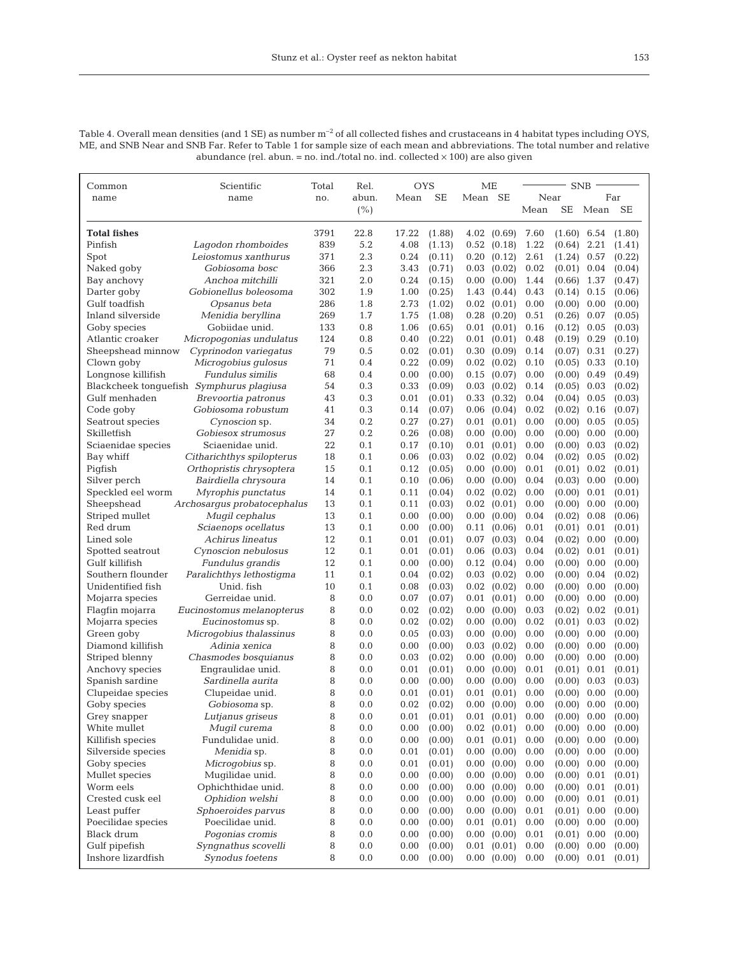Table 4. Overall mean densities (and 1 SE) as number  $m^{-2}$  of all collected fishes and crustaceans in 4 habitat types including OYS, ME, and SNB Near and SNB Far. Refer to Table 1 for sample size of each mean and abbreviations. The total number and relative abundance (rel. abun. = no. ind./total no. ind. collected  $\times$  100) are also given

| Common              | Scientific                               | Total | Rel.  | <b>OYS</b> |           | ME      |                   | <b>SNB</b> |               |          |        |
|---------------------|------------------------------------------|-------|-------|------------|-----------|---------|-------------------|------------|---------------|----------|--------|
| name                | name                                     | no.   | abun. | Mean       | <b>SE</b> | Mean SE |                   | Near       |               |          | Far    |
|                     |                                          |       | (% )  |            |           |         |                   | Mean       | SE            | Mean SE  |        |
| <b>Total fishes</b> |                                          | 3791  | 22.8  | 17.22      | (1.88)    | 4.02    | (0.69)            | 7.60       | $(1.60)$ 6.54 |          | (1.80) |
| Pinfish             | Lagodon rhomboides                       | 839   | 5.2   | 4.08       | (1.13)    | 0.52    | (0.18)            | 1.22       | (0.64)        | 2.21     | (1.41) |
| Spot                | Leiostomus xanthurus                     | 371   | 2.3   | 0.24       | (0.11)    | 0.20    | (0.12)            | 2.61       | (1.24)        | 0.57     | (0.22) |
| Naked goby          | Gobiosoma bosc                           | 366   | 2.3   | 3.43       | (0.71)    | 0.03    | (0.02)            | 0.02       | (0.01)        | 0.04     | (0.04) |
| Bay anchovy         | Anchoa mitchilli                         | 321   | 2.0   | 0.24       | (0.15)    | 0.00    | (0.00)            | 1.44       | (0.66)        | 1.37     | (0.47) |
| Darter goby         | Gobionellus boleosoma                    | 302   | 1.9   | 1.00       | (0.25)    | 1.43    | (0.44)            | 0.43       | (0.14)        | 0.15     | (0.06) |
| Gulf toadfish       | Opsanus beta                             | 286   | 1.8   | 2.73       | (1.02)    | 0.02    | (0.01)            | 0.00       | (0.00)        | 0.00     | (0.00) |
| Inland silverside   | Menidia beryllina                        | 269   | 1.7   | 1.75       | (1.08)    | 0.28    | (0.20)            | 0.51       | (0.26)        | 0.07     | (0.05) |
| Goby species        | Gobiidae unid.                           | 133   | 0.8   | 1.06       | (0.65)    | 0.01    | (0.01)            | 0.16       | (0.12)        | 0.05     | (0.03) |
| Atlantic croaker    | Micropogonias undulatus                  | 124   | 0.8   | 0.40       | (0.22)    | 0.01    | (0.01)            | 0.48       | (0.19)        | 0.29     | (0.10) |
| Sheepshead minnow   | Cyprinodon variegatus                    | 79    | 0.5   | 0.02       | (0.01)    | 0.30    | (0.09)            | 0.14       | (0.07)        | 0.31     | (0.27) |
| Clown goby          | Microgobius gulosus                      | 71    | 0.4   | 0.22       | (0.09)    | 0.02    | (0.02)            | 0.10       | (0.05)        | 0.33     | (0.10) |
| Longnose killifish  | Fundulus similis                         | 68    | 0.4   | 0.00       | (0.00)    | 0.15    | (0.07)            | 0.00       | (0.00)        | 0.49     | (0.49) |
|                     | Blackcheek tonguefish Symphurus plagiusa | 54    | 0.3   | 0.33       | (0.09)    | 0.03    | (0.02)            | 0.14       | (0.05)        | 0.03     | (0.02) |
| Gulf menhaden       | Brevoortia patronus                      | 43    | 0.3   | 0.01       | (0.01)    | 0.33    | (0.32)            | 0.04       | (0.04)        | 0.05     | (0.03) |
| Code goby           | Gobiosoma robustum                       | 41    | 0.3   | 0.14       | (0.07)    | 0.06    | (0.04)            | 0.02       | (0.02)        | 0.16     | (0.07) |
| Seatrout species    | Cynoscion sp.                            | 34    | 0.2   | 0.27       | (0.27)    | 0.01    | (0.01)            | 0.00       | (0.00)        | 0.05     | (0.05) |
| Skilletfish         | Gobiesox strumosus                       | 27    | 0.2   | 0.26       | (0.08)    | 0.00    | (0.00)            | 0.00       | (0.00)        | 0.00     | (0.00) |
| Sciaenidae species  | Sciaenidae unid.                         | 22    | 0.1   | 0.17       | (0.10)    | 0.01    | (0.01)            | 0.00       | (0.00)        | 0.03     | (0.02) |
| Bay whiff           | Citharichthys spilopterus                | 18    | 0.1   | 0.06       | (0.03)    | 0.02    | (0.02)            | 0.04       | (0.02)        | 0.05     | (0.02) |
| Pigfish             | Orthopristis chrysoptera                 | 15    | 0.1   | 0.12       | (0.05)    | 0.00    | (0.00)            | 0.01       | (0.01)        | 0.02     | (0.01) |
| Silver perch        | Bairdiella chrysoura                     | 14    | 0.1   | 0.10       | (0.06)    | 0.00    | (0.00)            | 0.04       | (0.03)        | 0.00     | (0.00) |
| Speckled eel worm   | Myrophis punctatus                       | 14    | 0.1   | 0.11       | (0.04)    | 0.02    | (0.02)            | 0.00       | (0.00)        | 0.01     | (0.01) |
| Sheepshead          | Archosargus probatocephalus              | 13    | 0.1   | 0.11       | (0.03)    |         | $0.02$ $(0.01)$   | 0.00       | (0.00)        | 0.00     | (0.00) |
| Striped mullet      | Mugil cephalus                           | 13    | 0.1   | 0.00       | (0.00)    | 0.00    | (0.00)            | 0.04       | (0.02)        | 0.08     | (0.06) |
| Red drum            | Sciaenops ocellatus                      | 13    | 0.1   | 0.00       | (0.00)    | 0.11    | (0.06)            | 0.01       | (0.01)        | 0.01     | (0.01) |
| Lined sole          | Achirus lineatus                         | 12    | 0.1   | 0.01       | (0.01)    | 0.07    | (0.03)            | 0.04       | (0.02)        | 0.00     | (0.00) |
| Spotted seatrout    | Cynoscion nebulosus                      | 12    | 0.1   | 0.01       | (0.01)    | 0.06    | (0.03)            | 0.04       | (0.02)        | 0.01     | (0.01) |
| Gulf killifish      | Fundulus grandis                         | 12    | 0.1   | 0.00       | (0.00)    | 0.12    | (0.04)            | 0.00       | (0.00)        | 0.00     | (0.00) |
| Southern flounder   | Paralichthys lethostigma                 | 11    | 0.1   | 0.04       | (0.02)    | 0.03    | (0.02)            | 0.00       | (0.00)        | 0.04     | (0.02) |
| Unidentified fish   | Unid. fish                               | 10    | 0.1   | 0.08       | (0.03)    |         | $0.02$ $(0.02)$   | 0.00       | (0.00)        | 0.00     | (0.00) |
| Mojarra species     | Gerreidae unid.                          | 8     | 0.0   | 0.07       | (0.07)    | 0.01    | (0.01)            | 0.00       | (0.00)        | 0.00     | (0.00) |
| Flagfin mojarra     | Eucinostomus melanopterus                | 8     | 0.0   | 0.02       | (0.02)    | 0.00    | (0.00)            | 0.03       | (0.02)        | 0.02     | (0.01) |
| Mojarra species     | <i>Eucinostomus</i> sp.                  | 8     | 0.0   | 0.02       | (0.02)    | 0.00    | (0.00)            | 0.02       | (0.01)        | 0.03     | (0.02) |
| Green goby          | Microgobius thalassinus                  | 8     | 0.0   | 0.05       | (0.03)    | 0.00    | (0.00)            | 0.00       | (0.00)        | 0.00     | (0.00) |
| Diamond killifish   | Adinia xenica                            | 8     | 0.0   | 0.00       | (0.00)    | 0.03    | (0.02)            | 0.00       | (0.00)        | 0.00     | (0.00) |
| Striped blenny      | Chasmodes bosquianus                     | 8     | 0.0   | 0.03       | (0.02)    | 0.00    | (0.00)            | 0.00       | (0.00)        | 0.00     | (0.00) |
| Anchovy species     | Engraulidae unid.                        | 8     | 0.0   | 0.01       | (0.01)    | 0.00    | (0.00)            | 0.01       | (0.01)        | 0.01     | (0.01) |
| Spanish sardine     | Sardinella aurita                        | 8     | 0.0   | 0.00       | (0.00)    | 0.00    | (0.00)            | 0.00       | (0.00)        | 0.03     | (0.03) |
| Clupeidae species   | Clupeidae unid.                          | 8     | 0.0   | 0.01       | (0.01)    |         | $0.01$ $(0.01)$   | 0.00       | (0.00)        | 0.00     | (0.00) |
| Goby species        | Gobiosoma sp.                            | 8     | 0.0   | 0.02       | (0.02)    |         | $0.00\quad(0.00)$ | 0.00       | (0.00)        | $0.00\,$ | (0.00) |
| Grey snapper        | Lutjanus griseus                         | 8     | 0.0   | 0.01       | (0.01)    |         | $0.01$ $(0.01)$   | 0.00       | $(0.00)$ 0.00 |          | (0.00) |
| White mullet        | Mugil curema                             | 8     | 0.0   | 0.00       | (0.00)    |         | $0.02$ $(0.01)$   | 0.00       | (0.00)        | 0.00     | (0.00) |
| Killifish species   | Fundulidae unid.                         | 8     | 0.0   | 0.00       | (0.00)    |         | $0.01$ $(0.01)$   | 0.00       | (0.00)        | 0.00     | (0.00) |
| Silverside species  | Menidia sp.                              | 8     | 0.0   | 0.01       | (0.01)    |         | $0.00\quad(0.00)$ | 0.00       | (0.00)        | 0.00     | (0.00) |
| Goby species        | Microgobius sp.                          | 8     | 0.0   | 0.01       | (0.01)    | 0.00    | (0.00)            | 0.00       | (0.00)        | 0.00     | (0.00) |
| Mullet species      | Mugilidae unid.                          | 8     | 0.0   | 0.00       | (0.00)    | 0.00    | (0.00)            | 0.00       | (0.00)        | 0.01     | (0.01) |
| Worm eels           | Ophichthidae unid.                       | 8     | 0.0   | 0.00       | (0.00)    | 0.00    | (0.00)            | 0.00       | (0.00)        | 0.01     | (0.01) |
| Crested cusk eel    | Ophidion welshi                          | 8     | 0.0   | 0.00       | (0.00)    | 0.00    | (0.00)            | 0.00       | (0.00)        | 0.01     | (0.01) |
| Least puffer        | Sphoeroides parvus                       | 8     | 0.0   | 0.00       | (0.00)    |         | 0.00 (0.00)       | 0.01       | (0.01)        | 0.00     | (0.00) |
| Poecilidae species  | Poecilidae unid.                         | 8     | 0.0   | 0.00       | (0.00)    |         | $0.01$ $(0.01)$   | 0.00       | $(0.00)$ 0.00 |          | (0.00) |
| Black drum          | Pogonias cromis                          | 8     | 0.0   | 0.00       | (0.00)    |         | 0.00 (0.00)       | 0.01       | (0.01)        | 0.00     | (0.00) |
| Gulf pipefish       | Syngnathus scovelli                      | 8     | 0.0   | 0.00       | (0.00)    |         | $0.01$ $(0.01)$   | 0.00       | (0.00)        | 0.00     | (0.00) |
| Inshore lizardfish  | Synodus foetens                          | 8     | 0.0   | 0.00       | (0.00)    |         | 0.00 (0.00)       | 0.00       | $(0.00)$ 0.01 |          | (0.01) |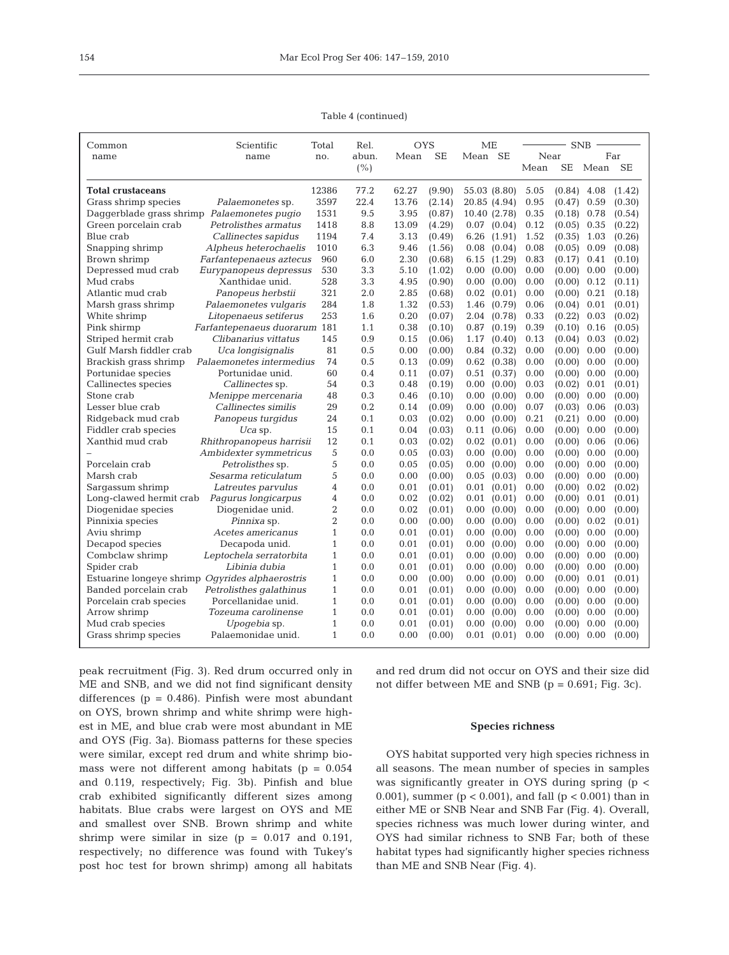154

Table 4 (continued)

| Common                                          | Scientific                   | Total          | Rel.  | <b>OYS</b> |           | МE              |      | <b>SNB</b> |      |           |
|-------------------------------------------------|------------------------------|----------------|-------|------------|-----------|-----------------|------|------------|------|-----------|
| name                                            | name                         | no.            | abun. | Mean       | <b>SE</b> | Mean SE         | Near |            |      | Far       |
|                                                 |                              |                | (% )  |            |           |                 | Mean | <b>SE</b>  | Mean | <b>SE</b> |
| <b>Total crustaceans</b>                        |                              | 12386          | 77.2  | 62.27      | (9.90)    | 55.03 (8.80)    | 5.05 | (0.84)     | 4.08 | (1.42)    |
| Grass shrimp species                            | Palaemonetes sp.             | 3597           | 22.4  | 13.76      | (2.14)    | 20.85 (4.94)    | 0.95 | (0.47)     | 0.59 | (0.30)    |
| Daggerblade grass shrimp Palaemonetes pugio     |                              | 1531           | 9.5   | 3.95       | (0.87)    | 10.40 (2.78)    | 0.35 | (0.18)     | 0.78 | (0.54)    |
| Green porcelain crab                            | Petrolisthes armatus         | 1418           | 8.8   | 13.09      | (4.29)    | 0.07<br>(0.04)  | 0.12 | (0.05)     | 0.35 | (0.22)    |
| Blue crab                                       | Callinectes sapidus          | 1194           | 7.4   | 3.13       | (0.49)    | 6.26<br>(1.91)  | 1.52 | (0.35)     | 1.03 | (0.26)    |
| Snapping shrimp                                 | Alpheus heterochaelis        | 1010           | 6.3   | 9.46       | (1.56)    | 0.08<br>(0.04)  | 0.08 | (0.05)     | 0.09 | (0.08)    |
| Brown shrimp                                    | Farfantepenaeus aztecus      | 960            | 6.0   | 2.30       | (0.68)    | (1.29)<br>6.15  | 0.83 | (0.17)     | 0.41 | (0.10)    |
| Depressed mud crab                              | Eurypanopeus depressus       | 530            | 3.3   | 5.10       | (1.02)    | 0.00<br>(0.00)  | 0.00 | (0.00)     | 0.00 | (0.00)    |
| Mud crabs                                       | Xanthidae unid.              | 528            | 3.3   | 4.95       | (0.90)    | 0.00<br>(0.00)  | 0.00 | (0.00)     | 0.12 | (0.11)    |
| Atlantic mud crab                               | Panopeus herbstii            | 321            | 2.0   | 2.85       | (0.68)    | 0.02<br>(0.01)  | 0.00 | (0.00)     | 0.21 | (0.18)    |
| Marsh grass shrimp                              | Palaemonetes vulgaris        | 284            | 1.8   | 1.32       | (0.53)    | 1.46<br>(0.79)  | 0.06 | (0.04)     | 0.01 | (0.01)    |
| White shrimp                                    | Litopenaeus setiferus        | 253            | 1.6   | 0.20       | (0.07)    | 2.04<br>(0.78)  | 0.33 | (0.22)     | 0.03 | (0.02)    |
| Pink shirmp                                     | Farfantepenaeus duorarum 181 |                | 1.1   | 0.38       | (0.10)    | 0.87<br>(0.19)  | 0.39 | (0.10)     | 0.16 | (0.05)    |
| Striped hermit crab                             | Clibanarius vittatus         | 145            | 0.9   | 0.15       | (0.06)    | 1.17<br>(0.40)  | 0.13 | (0.04)     | 0.03 | (0.02)    |
| Gulf Marsh fiddler crab                         | Uca longisignalis            | 81             | 0.5   | 0.00       | (0.00)    | (0.32)<br>0.84  | 0.00 | (0.00)     | 0.00 | (0.00)    |
| Brackish grass shrimp                           | Palaemonetes intermedius     | 74             | 0.5   | 0.13       | (0.09)    | (0.38)<br>0.62  | 0.00 | (0.00)     | 0.00 | (0.00)    |
| Portunidae species                              | Portunidae unid.             | 60             | 0.4   | 0.11       | (0.07)    | 0.51<br>(0.37)  | 0.00 | (0.00)     | 0.00 | (0.00)    |
| Callinectes species                             | Callinectes sp.              | 54             | 0.3   | 0.48       | (0.19)    | 0.00<br>(0.00)  | 0.03 | (0.02)     | 0.01 | (0.01)    |
| Stone crab                                      | Menippe mercenaria           | 48             | 0.3   | 0.46       | (0.10)    | 0.00<br>(0.00)  | 0.00 | (0.00)     | 0.00 | (0.00)    |
| Lesser blue crab                                | Callinectes similis          | 29             | 0.2   | 0.14       | (0.09)    | 0.00<br>(0.00)  | 0.07 | (0.03)     | 0.06 | (0.03)    |
| Ridgeback mud crab                              | Panopeus turgidus            | 24             | 0.1   | 0.03       | (0.02)    | 0.00<br>(0.00)  | 0.21 | (0.21)     | 0.00 | (0.00)    |
| Fiddler crab species                            | $Uca$ sp.                    | 15             | 0.1   | 0.04       | (0.03)    | (0.06)<br>0.11  | 0.00 | (0.00)     | 0.00 | (0.00)    |
| Xanthid mud crab                                | Rhithropanopeus harrisii     | 12             | 0.1   | 0.03       | (0.02)    | 0.02<br>(0.01)  | 0.00 | (0.00)     | 0.06 | (0.06)    |
|                                                 | Ambidexter symmetricus       | 5              | 0.0   | 0.05       | (0.03)    | 0.00<br>(0.00)  | 0.00 | (0.00)     | 0.00 | (0.00)    |
| Porcelain crab                                  | <i>Petrolisthes</i> sp.      | 5              | 0.0   | 0.05       | (0.05)    | (0.00)<br>0.00  | 0.00 | (0.00)     | 0.00 | (0.00)    |
| Marsh crab                                      | Sesarma reticulatum          | 5              | 0.0   | 0.00       | (0.00)    | 0.05<br>(0.03)  | 0.00 | (0.00)     | 0.00 | (0.00)    |
| Sargassum shrimp                                | Latreutes parvulus           | 4              | 0.0   | 0.01       | (0.01)    | 0.01<br>(0.01)  | 0.00 | (0.00)     | 0.02 | (0.02)    |
| Long-clawed hermit crab                         | Pagurus longicarpus          | 4              | 0.0   | 0.02       | (0.02)    | 0.01<br>(0.01)  | 0.00 | (0.00)     | 0.01 | (0.01)    |
| Diogenidae species                              | Diogenidae unid.             | $\overline{2}$ | 0.0   | 0.02       | (0.01)    | 0.00<br>(0.00)  | 0.00 | (0.00)     | 0.00 | (0.00)    |
| Pinnixia species                                | <i>Pinnixa</i> sp.           | $\overline{2}$ | 0.0   | 0.00       | (0.00)    | 0.00<br>(0.00)  | 0.00 | (0.00)     | 0.02 | (0.01)    |
| Aviu shrimp                                     | Acetes americanus            | 1              | 0.0   | 0.01       | (0.01)    | 0.00<br>(0.00)  | 0.00 | (0.00)     | 0.00 | (0.00)    |
| Decapod species                                 | Decapoda unid.               | $\mathbf{1}$   | 0.0   | 0.01       | (0.01)    | 0.00<br>(0.00)  | 0.00 | (0.00)     | 0.00 | (0.00)    |
| Combclaw shrimp                                 | Leptochela serratorbita      | 1              | 0.0   | 0.01       | (0.01)    | 0.00<br>(0.00)  | 0.00 | (0.00)     | 0.00 | (0.00)    |
| Spider crab                                     | Libinia dubia                | 1              | 0.0   | 0.01       | (0.01)    | 0.00<br>(0.00)  | 0.00 | (0.00)     | 0.00 | (0.00)    |
| Estuarine longeye shrimp Ogyrides alphaerostris |                              | $\mathbf{1}$   | 0.0   | 0.00       | (0.00)    | 0.00<br>(0.00)  | 0.00 | (0.00)     | 0.01 | (0.01)    |
| Banded porcelain crab                           | Petrolisthes galathinus      | 1              | 0.0   | 0.01       | (0.01)    | 0.00<br>(0.00)  | 0.00 | (0.00)     | 0.00 | (0.00)    |
| Porcelain crab species                          | Porcellanidae unid.          | $\mathbf{1}$   | 0.0   | 0.01       | (0.01)    | (0.00)<br>0.00  | 0.00 | (0.00)     | 0.00 | (0.00)    |
| Arrow shrimp                                    | Tozeuma carolinense          | 1              | 0.0   | 0.01       | (0.01)    | 0.00<br>(0.00)  | 0.00 | (0.00)     | 0.00 | (0.00)    |
| Mud crab species                                | Upogebia sp.                 | 1              | 0.0   | 0.01       | (0.01)    | 0.00<br>(0.00)  | 0.00 | (0.00)     | 0.00 | (0.00)    |
| Grass shrimp species                            | Palaemonidae unid.           | 1              | 0.0   | 0.00       | (0.00)    | $0.01$ $(0.01)$ | 0.00 | (0.00)     | 0.00 | (0.00)    |

peak recruitment (Fig. 3). Red drum occurred only in ME and SNB, and we did not find significant density differences ( $p = 0.486$ ). Pinfish were most abundant on OYS, brown shrimp and white shrimp were highest in ME, and blue crab were most abundant in ME and OYS (Fig. 3a). Biomass patterns for these species were similar, except red drum and white shrimp biomass were not different among habitats ( $p = 0.054$ and 0.119, respectively; Fig. 3b). Pinfish and blue crab exhibited significantly different sizes among habitats. Blue crabs were largest on OYS and ME and smallest over SNB. Brown shrimp and white shrimp were similar in size  $(p = 0.017$  and 0.191, respectively; no difference was found with Tukey's post hoc test for brown shrimp) among all habitats

and red drum did not occur on OYS and their size did not differ between ME and SNB (p = 0.691; Fig. 3c).

### **Species richness**

OYS habitat supported very high species richness in all seasons. The mean number of species in samples was significantly greater in OYS during spring (p < 0.001), summer ( $p < 0.001$ ), and fall ( $p < 0.001$ ) than in either ME or SNB Near and SNB Far (Fig. 4). Overall, species richness was much lower during winter, and OYS had similar richness to SNB Far; both of these habitat types had significantly higher species richness than ME and SNB Near (Fig. 4).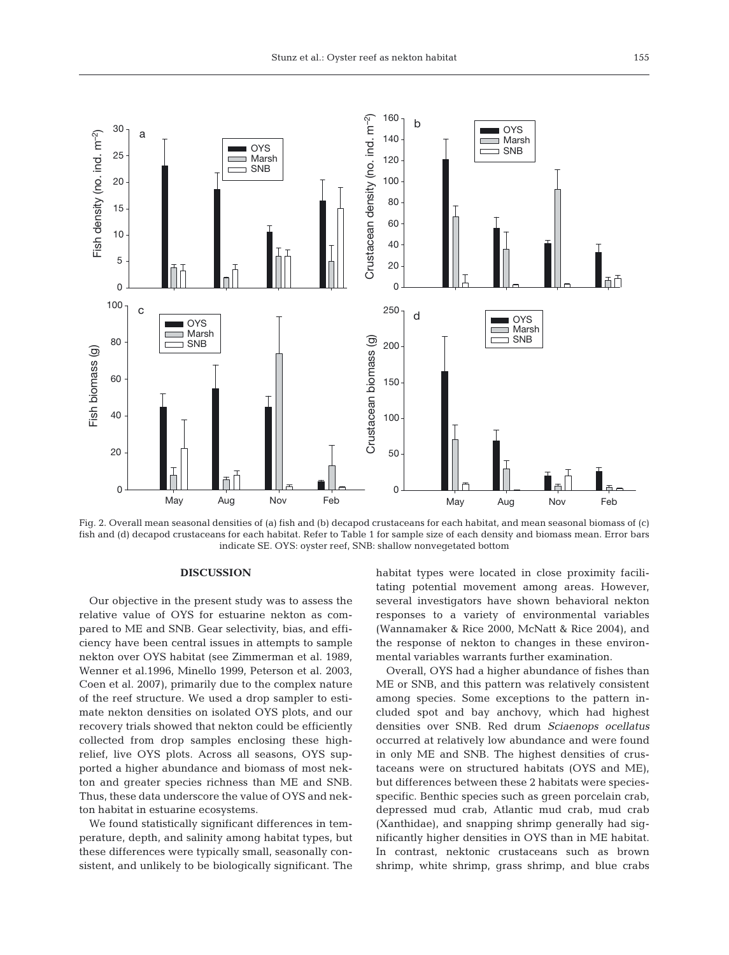

Fig. 2. Overall mean seasonal densities of (a) fish and (b) decapod crustaceans for each habitat, and mean seasonal biomass of (c) fish and (d) decapod crustaceans for each habitat. Refer to Table 1 for sample size of each density and biomass mean. Error bars indicate SE. OYS: oyster reef, SNB: shallow nonvegetated bottom

## **DISCUSSION**

Our objective in the present study was to assess the relative value of OYS for estuarine nekton as compared to ME and SNB. Gear selectivity, bias, and efficiency have been central issues in attempts to sample nekton over OYS habitat (see Zimmerman et al. 1989, Wenner et al.1996, Minello 1999, Peterson et al. 2003, Coen et al. 2007), primarily due to the complex nature of the reef structure. We used a drop sampler to estimate nekton densities on isolated OYS plots, and our recovery trials showed that nekton could be efficiently collected from drop samples enclosing these highrelief, live OYS plots. Across all seasons, OYS supported a higher abundance and biomass of most nekton and greater species richness than ME and SNB. Thus, these data underscore the value of OYS and nekton habitat in estuarine ecosystems.

We found statistically significant differences in temperature, depth, and salinity among habitat types, but these differences were typically small, seasonally consistent, and unlikely to be biologically significant. The habitat types were located in close proximity facilitating potential movement among areas. However, several investigators have shown behavioral nekton responses to a variety of environmental variables (Wannamaker & Rice 2000, McNatt & Rice 2004), and the response of nekton to changes in these environmental variables warrants further examination.

Overall, OYS had a higher abundance of fishes than ME or SNB, and this pattern was relatively consistent among species. Some exceptions to the pattern included spot and bay anchovy, which had highest densities over SNB. Red drum *Sciaenops ocellatus* occurred at relatively low abundance and were found in only ME and SNB. The highest densities of crustaceans were on structured habitats (OYS and ME), but differences between these 2 habitats were speciesspecific. Benthic species such as green porcelain crab, depressed mud crab, Atlantic mud crab, mud crab (Xanthidae), and snapping shrimp generally had significantly higher densities in OYS than in ME habitat. In contrast, nektonic crustaceans such as brown shrimp, white shrimp, grass shrimp, and blue crabs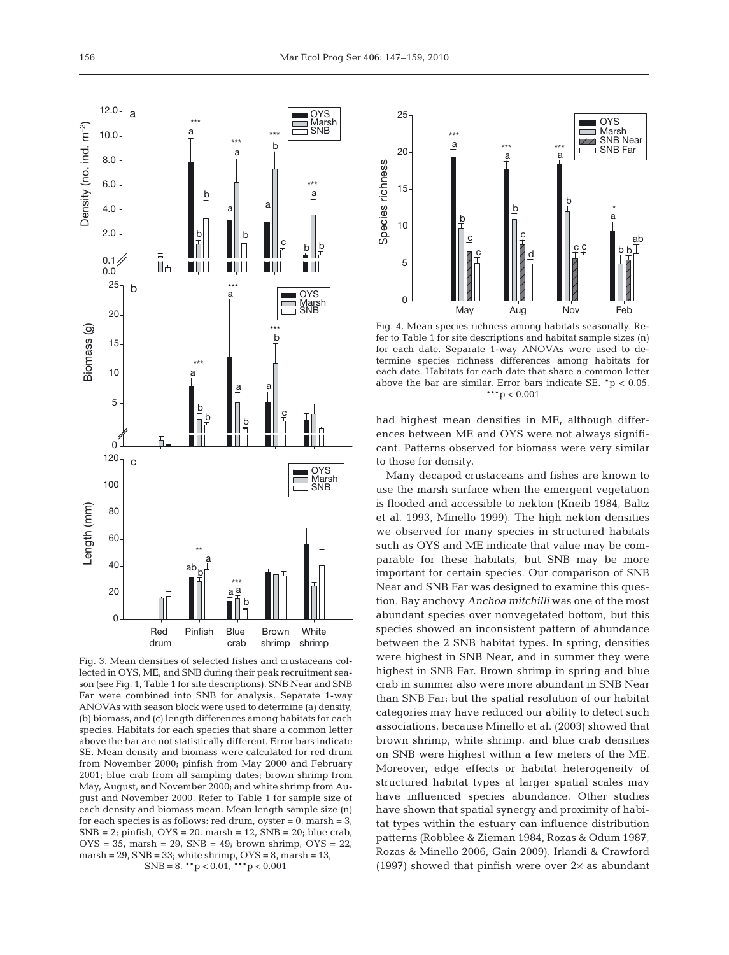

Fig. 3. Mean densities of selected fishes and crustaceans collected in OYS, ME, and SNB during their peak recruitment season (see Fig. 1, Table 1 for site descriptions). SNB Near and SNB Far were combined into SNB for analysis. Separate 1-way ANOVAs with season block were used to determine (a) density, (b) biomass, and (c) length differences among habitats for each species. Habitats for each species that share a common letter above the bar are not statistically different. Error bars indicate SE. Mean density and biomass were calculated for red drum from November 2000; pinfish from May 2000 and February 2001; blue crab from all sampling dates; brown shrimp from May, August, and November 2000; and white shrimp from August and November 2000. Refer to Table 1 for sample size of each density and biomass mean. Mean length sample size (n) for each species is as follows: red drum, oyster =  $0$ , marsh =  $3$ ,  $SNB = 2$ ; pinfish,  $OYS = 20$ , marsh = 12,  $SNB = 20$ ; blue crab,  $OYS = 35$ , marsh = 29, SNB = 49; brown shrimp,  $OYS = 22$ , marsh =  $29$ , SNB =  $33$ ; white shrimp, OYS =  $8$ , marsh =  $13$ ,  $SNB = 8$ . \*\*p < 0.01, \*\*\*p < 0.001



Fig. 4. Mean species richness among habitats seasonally. Refer to Table 1 for site descriptions and habitat sample sizes (n) for each date. Separate 1-way ANOVAs were used to determine species richness differences among habitats for each date. Habitats for each date that share a common letter above the bar are similar. Error bars indicate SE.  $*p < 0.05$ ,  $***p < 0.001$ 

had highest mean densities in ME, although differences between ME and OYS were not always significant. Patterns observed for biomass were very similar to those for density.

Many decapod crustaceans and fishes are known to use the marsh surface when the emergent vegetation is flooded and accessible to nekton (Kneib 1984, Baltz et al. 1993, Minello 1999). The high nekton densities we observed for many species in structured habitats such as OYS and ME indicate that value may be comparable for these habitats, but SNB may be more important for certain species. Our comparison of SNB Near and SNB Far was designed to examine this question. Bay anchovy *Anchoa mitchilli* was one of the most abundant species over nonvegetated bottom, but this species showed an inconsistent pattern of abundance between the 2 SNB habitat types. In spring, densities were highest in SNB Near, and in summer they were highest in SNB Far. Brown shrimp in spring and blue crab in summer also were more abundant in SNB Near than SNB Far; but the spatial resolution of our habitat categories may have reduced our ability to detect such associations, because Minello et al. (2003) showed that brown shrimp, white shrimp, and blue crab densities on SNB were highest within a few meters of the ME. Moreover, edge effects or habitat heterogeneity of structured habitat types at larger spatial scales may have influenced species abundance. Other studies have shown that spatial synergy and proximity of habitat types within the estuary can influence distribution patterns (Robblee & Zieman 1984, Rozas & Odum 1987, Rozas & Minello 2006, Gain 2009). Irlandi & Crawford (1997) showed that pinfish were over  $2\times$  as abundant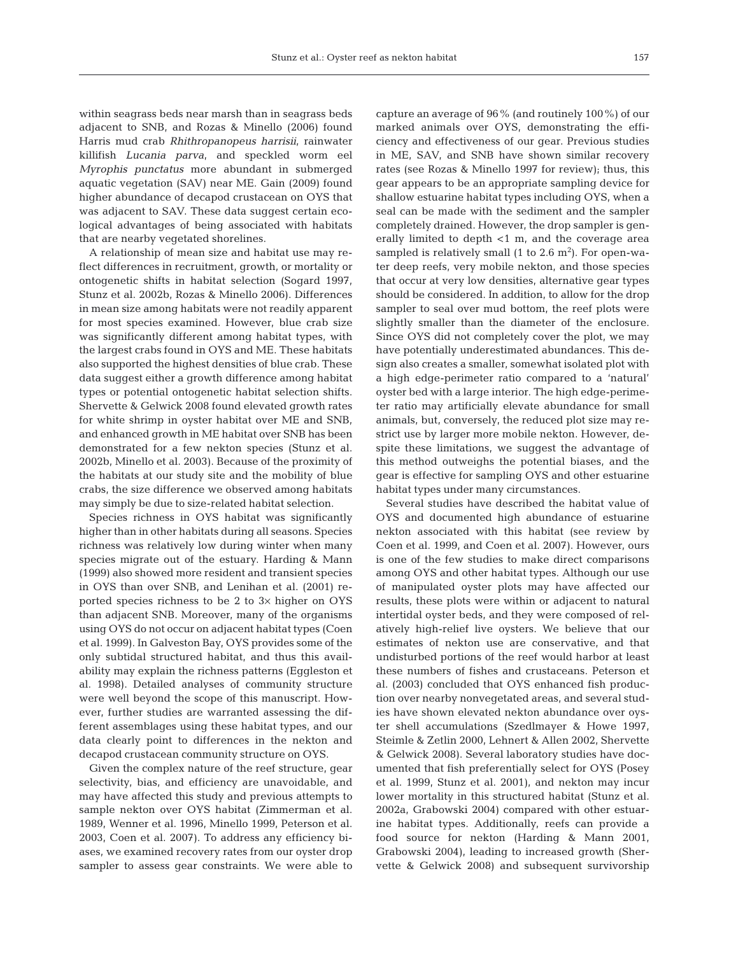within seagrass beds near marsh than in seagrass beds adjacent to SNB, and Rozas & Minello (2006) found Harris mud crab *Rhithropanopeus harrisii*, rainwater killifish *Lucania parva*, and speckled worm eel *Myrophis punctatus* more abundant in submerged aquatic vegetation (SAV) near ME. Gain (2009) found higher abundance of decapod crustacean on OYS that was adjacent to SAV. These data suggest certain ecological advantages of being associated with habitats that are nearby vegetated shorelines.

A relationship of mean size and habitat use may reflect differences in recruitment, growth, or mortality or ontogenetic shifts in habitat selection (Sogard 1997, Stunz et al. 2002b, Rozas & Minello 2006). Differences in mean size among habitats were not readily apparent for most species examined. However, blue crab size was significantly different among habitat types, with the largest crabs found in OYS and ME. These habitats also supported the highest densities of blue crab. These data suggest either a growth difference among habitat types or potential ontogenetic habitat selection shifts. Shervette & Gelwick 2008 found elevated growth rates for white shrimp in oyster habitat over ME and SNB, and enhanced growth in ME habitat over SNB has been demonstrated for a few nekton species (Stunz et al. 2002b, Minello et al. 2003). Because of the proximity of the habitats at our study site and the mobility of blue crabs, the size difference we observed among habitats may simply be due to size-related habitat selection.

Species richness in OYS habitat was significantly higher than in other habitats during all seasons. Species richness was relatively low during winter when many species migrate out of the estuary. Harding & Mann (1999) also showed more resident and transient species in OYS than over SNB, and Lenihan et al. (2001) reported species richness to be 2 to 3× higher on OYS than adjacent SNB. Moreover, many of the organisms using OYS do not occur on adjacent habitat types (Coen et al. 1999). In Galveston Bay, OYS provides some of the only subtidal structured habitat, and thus this availability may explain the richness patterns (Eggleston et al. 1998). Detailed analyses of community structure were well beyond the scope of this manuscript. However, further studies are warranted assessing the different assemblages using these habitat types, and our data clearly point to differences in the nekton and decapod crustacean community structure on OYS.

Given the complex nature of the reef structure, gear selectivity, bias, and efficiency are unavoidable, and may have affected this study and previous attempts to sample nekton over OYS habitat (Zimmerman et al. 1989, Wenner et al. 1996, Minello 1999, Peterson et al. 2003, Coen et al. 2007). To address any efficiency biases, we examined recovery rates from our oyster drop sampler to assess gear constraints. We were able to capture an average of 96% (and routinely 100%) of our marked animals over OYS, demonstrating the efficiency and effectiveness of our gear. Previous studies in ME, SAV, and SNB have shown similar recovery rates (see Rozas & Minello 1997 for review); thus, this gear appears to be an appropriate sampling device for shallow estuarine habitat types including OYS, when a seal can be made with the sediment and the sampler completely drained. However, the drop sampler is generally limited to depth <1 m, and the coverage area sampled is relatively small (1 to 2.6  $m<sup>2</sup>$ ). For open-water deep reefs, very mobile nekton, and those species that occur at very low densities, alternative gear types should be considered. In addition, to allow for the drop sampler to seal over mud bottom, the reef plots were slightly smaller than the diameter of the enclosure. Since OYS did not completely cover the plot, we may have potentially underestimated abundances. This design also creates a smaller, somewhat isolated plot with a high edge-perimeter ratio compared to a 'natural' oyster bed with a large interior. The high edge-perimeter ratio may artificially elevate abundance for small animals, but, conversely, the reduced plot size may restrict use by larger more mobile nekton. However, despite these limitations, we suggest the advantage of this method outweighs the potential biases, and the gear is effective for sampling OYS and other estuarine habitat types under many circumstances.

Several studies have described the habitat value of OYS and documented high abundance of estuarine nekton associated with this habitat (see review by Coen et al. 1999, and Coen et al. 2007). However, ours is one of the few studies to make direct comparisons among OYS and other habitat types. Although our use of manipulated oyster plots may have affected our results, these plots were within or adjacent to natural intertidal oyster beds, and they were composed of relatively high-relief live oysters. We believe that our estimates of nekton use are conservative, and that undisturbed portions of the reef would harbor at least these numbers of fishes and crustaceans. Peterson et al. (2003) concluded that OYS enhanced fish production over nearby nonvegetated areas, and several studies have shown elevated nekton abundance over oyster shell accumulations (Szedlmayer & Howe 1997, Steimle & Zetlin 2000, Lehnert & Allen 2002, Shervette & Gelwick 2008). Several laboratory studies have documented that fish preferentially select for OYS (Posey et al. 1999, Stunz et al. 2001), and nekton may incur lower mortality in this structured habitat (Stunz et al. 2002a, Grabowski 2004) compared with other estuarine habitat types. Additionally, reefs can provide a food source for nekton (Harding & Mann 2001, Grabowski 2004), leading to increased growth (Shervette & Gelwick 2008) and subsequent survivorship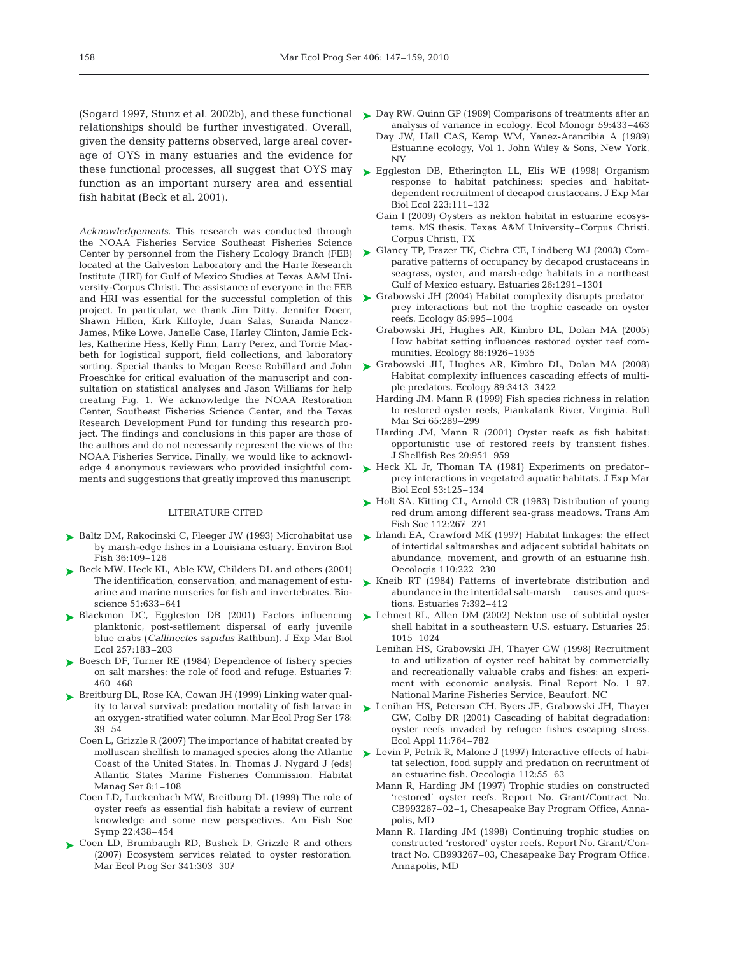relationships should be further investigated. Overall, given the density patterns observed, large areal coverage of OYS in many estuaries and the evidence for these functional processes, all suggest that OYS may function as an important nursery area and essential fish habitat (Beck et al. 2001).

*Acknowledgements.* This research was conducted through the NOAA Fisheries Service Southeast Fisheries Science Center by personnel from the Fishery Ecology Branch (FEB) located at the Galveston Laboratory and the Harte Research Institute (HRI) for Gulf of Mexico Studies at Texas A&M University-Corpus Christi. The assistance of everyone in the FEB and HRI was essential for the successful completion of this project. In particular, we thank Jim Ditty, Jennifer Doerr, Shawn Hillen, Kirk Kilfoyle, Juan Salas, Suraida Nanez-James, Mike Lowe, Janelle Case, Harley Clinton, Jamie Eckles, Katherine Hess, Kelly Finn, Larry Perez, and Torrie Macbeth for logistical support, field collections, and laboratory sorting. Special thanks to Megan Reese Robillard and John Froeschke for critical evaluation of the manuscript and consultation on statistical analyses and Jason Williams for help creating Fig. 1. We acknowledge the NOAA Restoration Center, Southeast Fisheries Science Center, and the Texas Research Development Fund for funding this research project. The findings and conclusions in this paper are those of the authors and do not necessarily represent the views of the NOAA Fisheries Service. Finally, we would like to acknowledge 4 anonymous reviewers who provided insightful comments and suggestions that greatly improved this manuscript.

#### LITERATURE CITED

- ► Baltz DM, Rakocinski C, Fleeger JW (1993) Microhabitat use by marsh-edge fishes in a Louisiana estuary. Environ Biol Fish 36:109–126
- ► Beck MW, Heck KL, Able KW, Childers DL and others (2001) The identification, conservation, and management of estuarine and marine nurseries for fish and invertebrates. Bioscience 51:633–641
- ▶ Blackmon DC, Eggleston DB (2001) Factors influencing planktonic, post-settlement dispersal of early juvenile blue crabs (*Callinectes sapidus* Rathbun). J Exp Mar Biol Ecol 257:183–203
- ► Boesch DF, Turner RE (1984) Dependence of fishery species on salt marshes: the role of food and refuge. Estuaries 7: 460–468
- ▶ Breitburg DL, Rose KA, Cowan JH (1999) Linking water quality to larval survival: predation mortality of fish larvae in an oxygen-stratified water column. Mar Ecol Prog Ser 178: 39–54
	- Coen L, Grizzle R (2007) The importance of habitat created by molluscan shellfish to managed species along the Atlantic Coast of the United States. In: Thomas J, Nygard J (eds) Atlantic States Marine Fisheries Commission. Habitat Manag Ser 8:1–108
	- Coen LD, Luckenbach MW, Breitburg DL (1999) The role of oyster reefs as essential fish habitat: a review of current knowledge and some new perspectives. Am Fish Soc Symp 22:438–454
- ► Coen LD, Brumbaugh RD, Bushek D, Grizzle R and others (2007) Ecosystem services related to oyster restoration. Mar Ecol Prog Ser 341:303–307
- (Sogard 1997, Stunz et al. 2002b), and these functional Day RW, Quinn GP (1989) Comparisons of treatments after an ➤ analysis of variance in ecology. Ecol Monogr 59:433–463
	- Day JW, Hall CAS, Kemp WM, Yanez-Arancibia A (1989) Estuarine ecology, Vol 1. John Wiley & Sons, New York, NY
	- ► Eggleston DB, Etherington LL, Elis WE (1998) Organism response to habitat patchiness: species and habitatdependent recruitment of decapod crustaceans. J Exp Mar Biol Ecol 223:111–132
		- Gain I (2009) Oysters as nekton habitat in estuarine ecosystems. MS thesis, Texas A&M University–Corpus Christi, Corpus Christi, TX
	- Glancy TP, Frazer TK, Cichra CE, Lindberg WJ (2003) Com-➤ parative patterns of occupancy by decapod crustaceans in seagrass, oyster, and marsh-edge habitats in a northeast Gulf of Mexico estuary. Estuaries 26:1291–1301
	- ► Grabowski JH (2004) Habitat complexity disrupts predator prey interactions but not the trophic cascade on oyster reefs. Ecology 85:995–1004
		- Grabowski JH, Hughes AR, Kimbro DL, Dolan MA (2005) How habitat setting influences restored oyster reef communities. Ecology 86:1926–1935
	- ► Grabowski JH, Hughes AR, Kimbro DL, Dolan MA (2008) Habitat complexity influences cascading effects of multiple predators. Ecology 89:3413–3422
		- Harding JM, Mann R (1999) Fish species richness in relation to restored oyster reefs, Piankatank River, Virginia. Bull Mar Sci 65:289–299
		- Harding JM, Mann R (2001) Oyster reefs as fish habitat: opportunistic use of restored reefs by transient fishes. J Shellfish Res 20:951–959
	- $\blacktriangleright$  Heck KL Jr, Thoman TA (1981) Experiments on predatorprey interactions in vegetated aquatic habitats. J Exp Mar Biol Ecol 53:125–134
	- ► Holt SA, Kitting CL, Arnold CR (1983) Distribution of young red drum among different sea-grass meadows. Trans Am Fish Soc 112:267–271
	- ► Irlandi EA, Crawford MK (1997) Habitat linkages: the effect of intertidal saltmarshes and adjacent subtidal habitats on abundance, movement, and growth of an estuarine fish. Oecologia 110:222–230
	- ► Kneib RT (1984) Patterns of invertebrate distribution and abundance in the intertidal salt-marsh — causes and questions. Estuaries 7:392–412
	- ► Lehnert RL, Allen DM (2002) Nekton use of subtidal oyster shell habitat in a southeastern U.S. estuary. Estuaries 25: 1015–1024
		- Lenihan HS, Grabowski JH, Thayer GW (1998) Recruitment to and utilization of oyster reef habitat by commercially and recreationally valuable crabs and fishes: an experiment with economic analysis. Final Report No. 1–97, National Marine Fisheries Service, Beaufort, NC
	- ► Lenihan HS, Peterson CH, Byers JE, Grabowski JH, Thayer GW, Colby DR (2001) Cascading of habitat degradation: oyster reefs invaded by refugee fishes escaping stress. Ecol Appl 11:764–782
	- ► Levin P, Petrik R, Malone J (1997) Interactive effects of habitat selection, food supply and predation on recruitment of an estuarine fish. Oecologia 112:55–63
		- Mann R, Harding JM (1997) Trophic studies on constructed 'restored' oyster reefs. Report No. Grant/Contract No. CB993267–02–1, Chesapeake Bay Program Office, Annapolis, MD
		- Mann R, Harding JM (1998) Continuing trophic studies on constructed 'restored' oyster reefs. Report No. Grant/Contract No. CB993267–03, Chesapeake Bay Program Office, Annapolis, MD